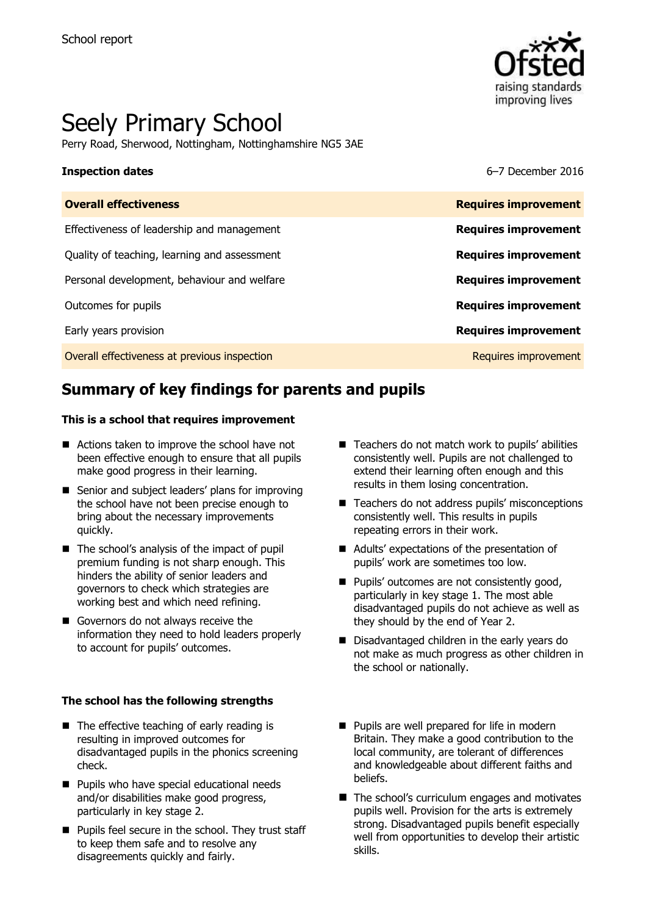

# Seely Primary School

Perry Road, Sherwood, Nottingham, Nottinghamshire NG5 3AE

**Inspection dates** 6–7 December 2016

| <b>Overall effectiveness</b>                 | <b>Requires improvement</b> |
|----------------------------------------------|-----------------------------|
| Effectiveness of leadership and management   | <b>Requires improvement</b> |
| Quality of teaching, learning and assessment | <b>Requires improvement</b> |
| Personal development, behaviour and welfare  | <b>Requires improvement</b> |
| Outcomes for pupils                          | <b>Requires improvement</b> |
| Early years provision                        | <b>Requires improvement</b> |
| Overall effectiveness at previous inspection | Requires improvement        |

# **Summary of key findings for parents and pupils**

#### **This is a school that requires improvement**

- Actions taken to improve the school have not been effective enough to ensure that all pupils make good progress in their learning.
- Senior and subject leaders' plans for improving the school have not been precise enough to bring about the necessary improvements quickly.
- $\blacksquare$  The school's analysis of the impact of pupil premium funding is not sharp enough. This hinders the ability of senior leaders and governors to check which strategies are working best and which need refining.
- Governors do not always receive the information they need to hold leaders properly to account for pupils' outcomes.

#### **The school has the following strengths**

- The effective teaching of early reading is resulting in improved outcomes for disadvantaged pupils in the phonics screening check.
- **Pupils who have special educational needs** and/or disabilities make good progress, particularly in key stage 2.
- **Pupils feel secure in the school. They trust staff** to keep them safe and to resolve any disagreements quickly and fairly.
- $\blacksquare$  Teachers do not match work to pupils' abilities consistently well. Pupils are not challenged to extend their learning often enough and this results in them losing concentration.
- Teachers do not address pupils' misconceptions consistently well. This results in pupils repeating errors in their work.
- Adults' expectations of the presentation of pupils' work are sometimes too low.
- **Pupils' outcomes are not consistently good,** particularly in key stage 1. The most able disadvantaged pupils do not achieve as well as they should by the end of Year 2.
- Disadvantaged children in the early years do not make as much progress as other children in the school or nationally.
- **Pupils are well prepared for life in modern** Britain. They make a good contribution to the local community, are tolerant of differences and knowledgeable about different faiths and beliefs.
- $\blacksquare$  The school's curriculum engages and motivates pupils well. Provision for the arts is extremely strong. Disadvantaged pupils benefit especially well from opportunities to develop their artistic skills.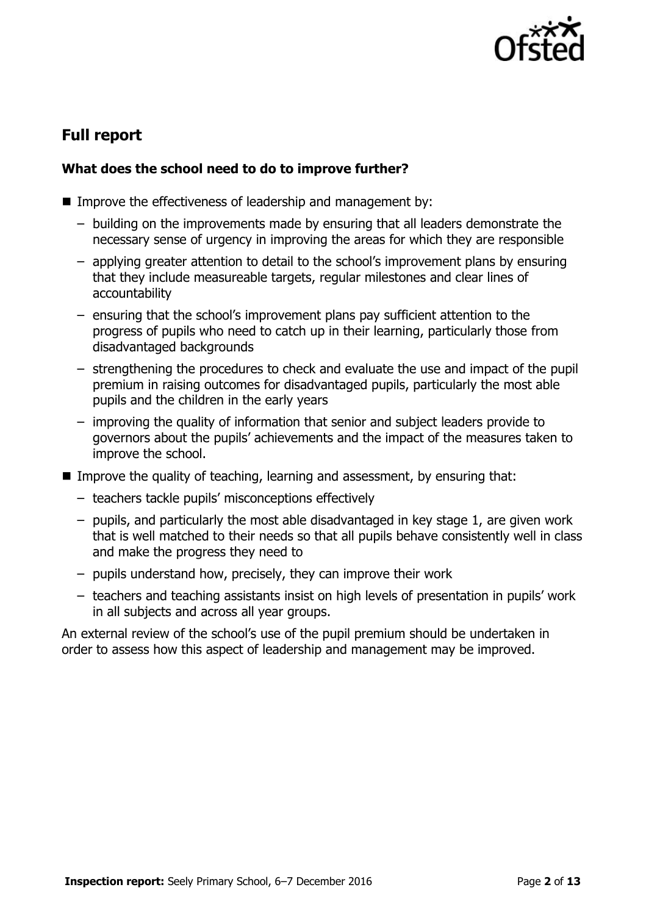

# **Full report**

### **What does the school need to do to improve further?**

- Improve the effectiveness of leadership and management by:
	- building on the improvements made by ensuring that all leaders demonstrate the necessary sense of urgency in improving the areas for which they are responsible
	- applying greater attention to detail to the school's improvement plans by ensuring that they include measureable targets, regular milestones and clear lines of accountability
	- ensuring that the school's improvement plans pay sufficient attention to the progress of pupils who need to catch up in their learning, particularly those from disadvantaged backgrounds
	- strengthening the procedures to check and evaluate the use and impact of the pupil premium in raising outcomes for disadvantaged pupils, particularly the most able pupils and the children in the early years
	- improving the quality of information that senior and subject leaders provide to governors about the pupils' achievements and the impact of the measures taken to improve the school.
- Improve the quality of teaching, learning and assessment, by ensuring that:
	- teachers tackle pupils' misconceptions effectively
	- pupils, and particularly the most able disadvantaged in key stage 1, are given work that is well matched to their needs so that all pupils behave consistently well in class and make the progress they need to
	- pupils understand how, precisely, they can improve their work
	- teachers and teaching assistants insist on high levels of presentation in pupils' work in all subjects and across all year groups.

An external review of the school's use of the pupil premium should be undertaken in order to assess how this aspect of leadership and management may be improved.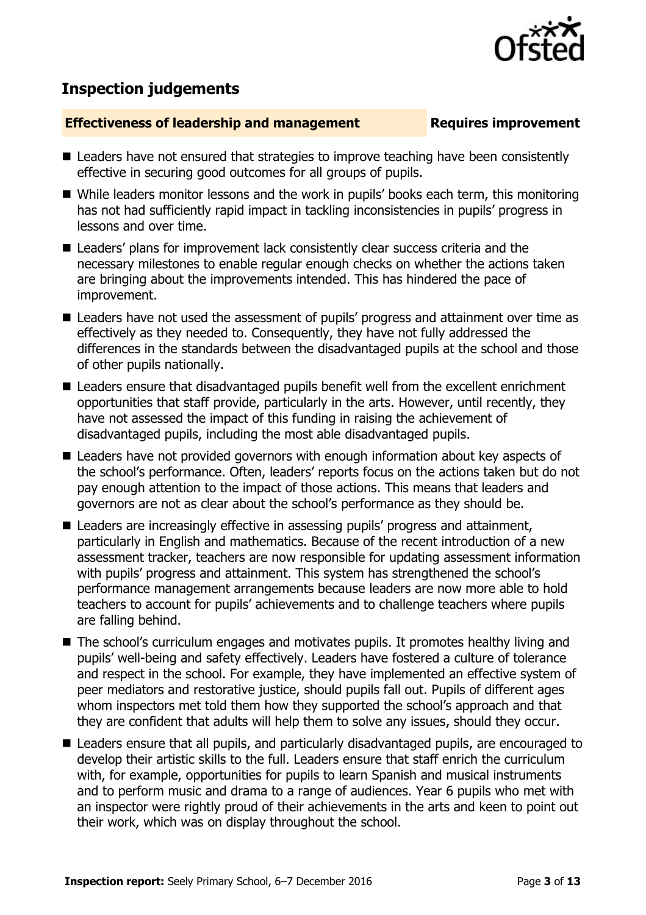## **Inspection judgements**

#### **Effectiveness of leadership and management Requires improvement**

- Leaders have not ensured that strategies to improve teaching have been consistently effective in securing good outcomes for all groups of pupils.
- While leaders monitor lessons and the work in pupils' books each term, this monitoring has not had sufficiently rapid impact in tackling inconsistencies in pupils' progress in lessons and over time.
- Leaders' plans for improvement lack consistently clear success criteria and the necessary milestones to enable regular enough checks on whether the actions taken are bringing about the improvements intended. This has hindered the pace of improvement.
- Leaders have not used the assessment of pupils' progress and attainment over time as effectively as they needed to. Consequently, they have not fully addressed the differences in the standards between the disadvantaged pupils at the school and those of other pupils nationally.
- Leaders ensure that disadvantaged pupils benefit well from the excellent enrichment opportunities that staff provide, particularly in the arts. However, until recently, they have not assessed the impact of this funding in raising the achievement of disadvantaged pupils, including the most able disadvantaged pupils.
- Leaders have not provided governors with enough information about key aspects of the school's performance. Often, leaders' reports focus on the actions taken but do not pay enough attention to the impact of those actions. This means that leaders and governors are not as clear about the school's performance as they should be.
- Leaders are increasingly effective in assessing pupils' progress and attainment, particularly in English and mathematics. Because of the recent introduction of a new assessment tracker, teachers are now responsible for updating assessment information with pupils' progress and attainment. This system has strengthened the school's performance management arrangements because leaders are now more able to hold teachers to account for pupils' achievements and to challenge teachers where pupils are falling behind.
- The school's curriculum engages and motivates pupils. It promotes healthy living and pupils' well-being and safety effectively. Leaders have fostered a culture of tolerance and respect in the school. For example, they have implemented an effective system of peer mediators and restorative justice, should pupils fall out. Pupils of different ages whom inspectors met told them how they supported the school's approach and that they are confident that adults will help them to solve any issues, should they occur.
- Leaders ensure that all pupils, and particularly disadvantaged pupils, are encouraged to develop their artistic skills to the full. Leaders ensure that staff enrich the curriculum with, for example, opportunities for pupils to learn Spanish and musical instruments and to perform music and drama to a range of audiences. Year 6 pupils who met with an inspector were rightly proud of their achievements in the arts and keen to point out their work, which was on display throughout the school.

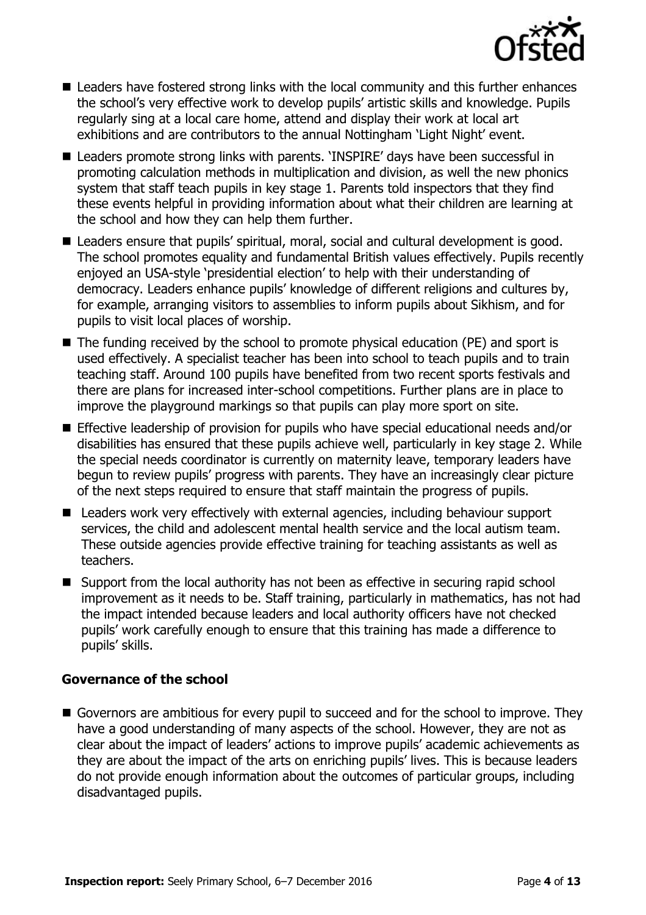

- Leaders have fostered strong links with the local community and this further enhances the school's very effective work to develop pupils' artistic skills and knowledge. Pupils regularly sing at a local care home, attend and display their work at local art exhibitions and are contributors to the annual Nottingham 'Light Night' event.
- Leaders promote strong links with parents. 'INSPIRE' days have been successful in promoting calculation methods in multiplication and division, as well the new phonics system that staff teach pupils in key stage 1. Parents told inspectors that they find these events helpful in providing information about what their children are learning at the school and how they can help them further.
- Leaders ensure that pupils' spiritual, moral, social and cultural development is good. The school promotes equality and fundamental British values effectively. Pupils recently enjoyed an USA-style 'presidential election' to help with their understanding of democracy. Leaders enhance pupils' knowledge of different religions and cultures by, for example, arranging visitors to assemblies to inform pupils about Sikhism, and for pupils to visit local places of worship.
- The funding received by the school to promote physical education (PE) and sport is used effectively. A specialist teacher has been into school to teach pupils and to train teaching staff. Around 100 pupils have benefited from two recent sports festivals and there are plans for increased inter-school competitions. Further plans are in place to improve the playground markings so that pupils can play more sport on site.
- Effective leadership of provision for pupils who have special educational needs and/or disabilities has ensured that these pupils achieve well, particularly in key stage 2. While the special needs coordinator is currently on maternity leave, temporary leaders have begun to review pupils' progress with parents. They have an increasingly clear picture of the next steps required to ensure that staff maintain the progress of pupils.
- Leaders work very effectively with external agencies, including behaviour support services, the child and adolescent mental health service and the local autism team. These outside agencies provide effective training for teaching assistants as well as teachers.
- Support from the local authority has not been as effective in securing rapid school improvement as it needs to be. Staff training, particularly in mathematics, has not had the impact intended because leaders and local authority officers have not checked pupils' work carefully enough to ensure that this training has made a difference to pupils' skills.

#### **Governance of the school**

Governors are ambitious for every pupil to succeed and for the school to improve. They have a good understanding of many aspects of the school. However, they are not as clear about the impact of leaders' actions to improve pupils' academic achievements as they are about the impact of the arts on enriching pupils' lives. This is because leaders do not provide enough information about the outcomes of particular groups, including disadvantaged pupils.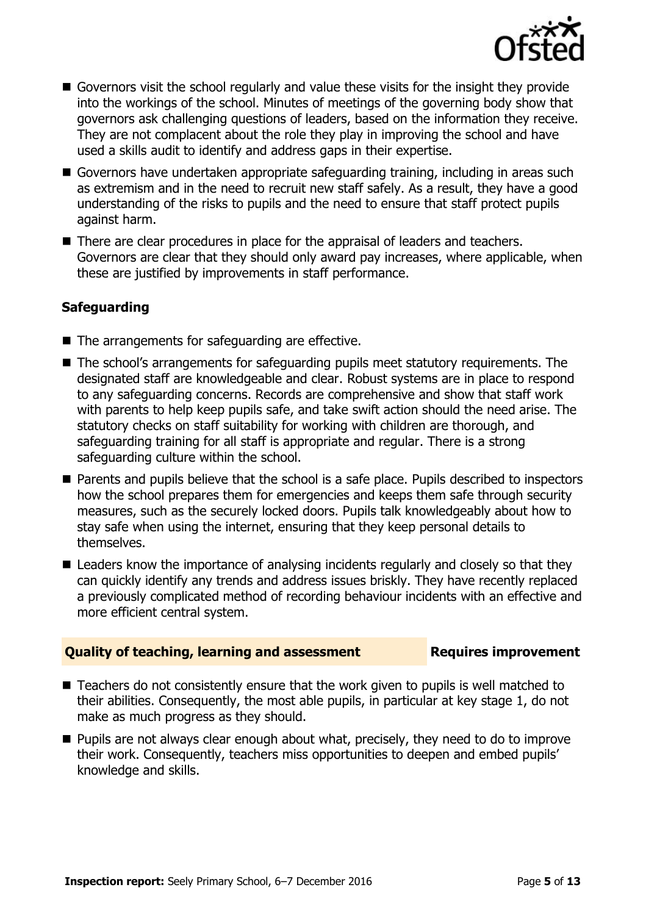

- Governors visit the school regularly and value these visits for the insight they provide into the workings of the school. Minutes of meetings of the governing body show that governors ask challenging questions of leaders, based on the information they receive. They are not complacent about the role they play in improving the school and have used a skills audit to identify and address gaps in their expertise.
- Governors have undertaken appropriate safeguarding training, including in areas such as extremism and in the need to recruit new staff safely. As a result, they have a good understanding of the risks to pupils and the need to ensure that staff protect pupils against harm.
- There are clear procedures in place for the appraisal of leaders and teachers. Governors are clear that they should only award pay increases, where applicable, when these are justified by improvements in staff performance.

### **Safeguarding**

- $\blacksquare$  The arrangements for safeguarding are effective.
- The school's arrangements for safeguarding pupils meet statutory requirements. The designated staff are knowledgeable and clear. Robust systems are in place to respond to any safeguarding concerns. Records are comprehensive and show that staff work with parents to help keep pupils safe, and take swift action should the need arise. The statutory checks on staff suitability for working with children are thorough, and safeguarding training for all staff is appropriate and regular. There is a strong safeguarding culture within the school.
- **Parents and pupils believe that the school is a safe place. Pupils described to inspectors** how the school prepares them for emergencies and keeps them safe through security measures, such as the securely locked doors. Pupils talk knowledgeably about how to stay safe when using the internet, ensuring that they keep personal details to themselves.
- **E** Leaders know the importance of analysing incidents regularly and closely so that they can quickly identify any trends and address issues briskly. They have recently replaced a previously complicated method of recording behaviour incidents with an effective and more efficient central system.

### **Quality of teaching, learning and assessment Figures improvement**

- Teachers do not consistently ensure that the work given to pupils is well matched to their abilities. Consequently, the most able pupils, in particular at key stage 1, do not make as much progress as they should.
- **Pupils are not always clear enough about what, precisely, they need to do to improve** their work. Consequently, teachers miss opportunities to deepen and embed pupils' knowledge and skills.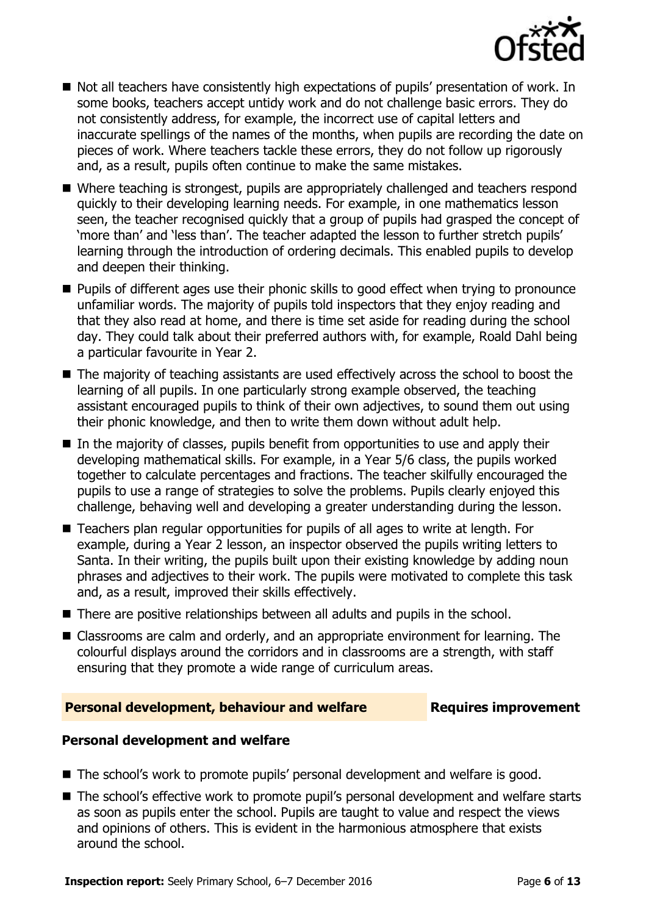

- Not all teachers have consistently high expectations of pupils' presentation of work. In some books, teachers accept untidy work and do not challenge basic errors. They do not consistently address, for example, the incorrect use of capital letters and inaccurate spellings of the names of the months, when pupils are recording the date on pieces of work. Where teachers tackle these errors, they do not follow up rigorously and, as a result, pupils often continue to make the same mistakes.
- Where teaching is strongest, pupils are appropriately challenged and teachers respond quickly to their developing learning needs. For example, in one mathematics lesson seen, the teacher recognised quickly that a group of pupils had grasped the concept of 'more than' and 'less than'. The teacher adapted the lesson to further stretch pupils' learning through the introduction of ordering decimals. This enabled pupils to develop and deepen their thinking.
- **Pupils of different ages use their phonic skills to good effect when trying to pronounce** unfamiliar words. The majority of pupils told inspectors that they enjoy reading and that they also read at home, and there is time set aside for reading during the school day. They could talk about their preferred authors with, for example, Roald Dahl being a particular favourite in Year 2.
- The majority of teaching assistants are used effectively across the school to boost the learning of all pupils. In one particularly strong example observed, the teaching assistant encouraged pupils to think of their own adjectives, to sound them out using their phonic knowledge, and then to write them down without adult help.
- In the majority of classes, pupils benefit from opportunities to use and apply their developing mathematical skills. For example, in a Year 5/6 class, the pupils worked together to calculate percentages and fractions. The teacher skilfully encouraged the pupils to use a range of strategies to solve the problems. Pupils clearly enjoyed this challenge, behaving well and developing a greater understanding during the lesson.
- Teachers plan regular opportunities for pupils of all ages to write at length. For example, during a Year 2 lesson, an inspector observed the pupils writing letters to Santa. In their writing, the pupils built upon their existing knowledge by adding noun phrases and adjectives to their work. The pupils were motivated to complete this task and, as a result, improved their skills effectively.
- There are positive relationships between all adults and pupils in the school.
- Classrooms are calm and orderly, and an appropriate environment for learning. The colourful displays around the corridors and in classrooms are a strength, with staff ensuring that they promote a wide range of curriculum areas.

#### **Personal development, behaviour and welfare Fig. 2. Requires improvement**

#### **Personal development and welfare**

- The school's work to promote pupils' personal development and welfare is good.
- The school's effective work to promote pupil's personal development and welfare starts as soon as pupils enter the school. Pupils are taught to value and respect the views and opinions of others. This is evident in the harmonious atmosphere that exists around the school.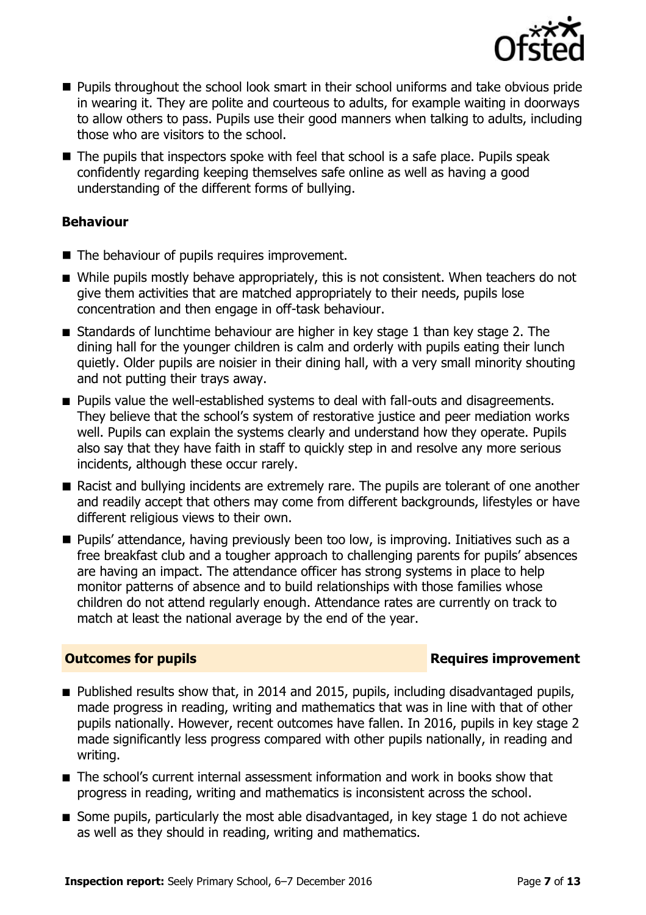

- **Pupils throughout the school look smart in their school uniforms and take obvious pride** in wearing it. They are polite and courteous to adults, for example waiting in doorways to allow others to pass. Pupils use their good manners when talking to adults, including those who are visitors to the school.
- $\blacksquare$  The pupils that inspectors spoke with feel that school is a safe place. Pupils speak confidently regarding keeping themselves safe online as well as having a good understanding of the different forms of bullying.

### **Behaviour**

- The behaviour of pupils requires improvement.
- While pupils mostly behave appropriately, this is not consistent. When teachers do not give them activities that are matched appropriately to their needs, pupils lose concentration and then engage in off-task behaviour.
- Standards of lunchtime behaviour are higher in key stage 1 than key stage 2. The dining hall for the younger children is calm and orderly with pupils eating their lunch quietly. Older pupils are noisier in their dining hall, with a very small minority shouting and not putting their trays away.
- **Pupils value the well-established systems to deal with fall-outs and disagreements.** They believe that the school's system of restorative justice and peer mediation works well. Pupils can explain the systems clearly and understand how they operate. Pupils also say that they have faith in staff to quickly step in and resolve any more serious incidents, although these occur rarely.
- Racist and bullying incidents are extremely rare. The pupils are tolerant of one another and readily accept that others may come from different backgrounds, lifestyles or have different religious views to their own.
- **Pupils' attendance, having previously been too low, is improving. Initiatives such as a** free breakfast club and a tougher approach to challenging parents for pupils' absences are having an impact. The attendance officer has strong systems in place to help monitor patterns of absence and to build relationships with those families whose children do not attend regularly enough. Attendance rates are currently on track to match at least the national average by the end of the year.

### **Outcomes for pupils Requires improvement**

- Published results show that, in 2014 and 2015, pupils, including disadvantaged pupils, made progress in reading, writing and mathematics that was in line with that of other pupils nationally. However, recent outcomes have fallen. In 2016, pupils in key stage 2 made significantly less progress compared with other pupils nationally, in reading and writing.
- The school's current internal assessment information and work in books show that progress in reading, writing and mathematics is inconsistent across the school.
- Some pupils, particularly the most able disadvantaged, in key stage 1 do not achieve as well as they should in reading, writing and mathematics.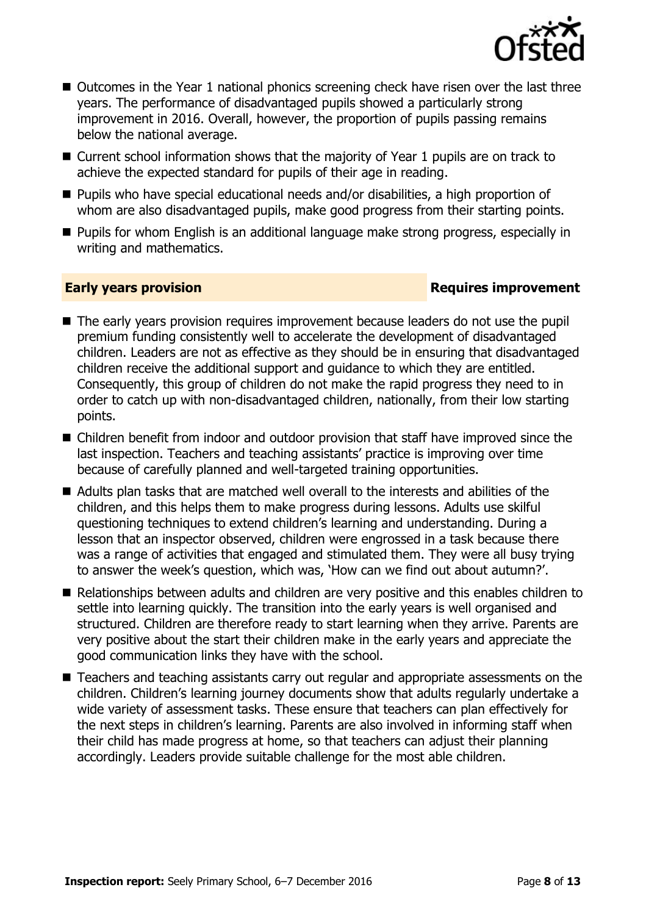

- Outcomes in the Year 1 national phonics screening check have risen over the last three years. The performance of disadvantaged pupils showed a particularly strong improvement in 2016. Overall, however, the proportion of pupils passing remains below the national average.
- Current school information shows that the majority of Year 1 pupils are on track to achieve the expected standard for pupils of their age in reading.
- Pupils who have special educational needs and/or disabilities, a high proportion of whom are also disadvantaged pupils, make good progress from their starting points.
- **Pupils for whom English is an additional language make strong progress, especially in** writing and mathematics.

### **Early years provision Requires improvement**

- The early years provision requires improvement because leaders do not use the pupil premium funding consistently well to accelerate the development of disadvantaged children. Leaders are not as effective as they should be in ensuring that disadvantaged children receive the additional support and guidance to which they are entitled. Consequently, this group of children do not make the rapid progress they need to in order to catch up with non-disadvantaged children, nationally, from their low starting points.
- Children benefit from indoor and outdoor provision that staff have improved since the last inspection. Teachers and teaching assistants' practice is improving over time because of carefully planned and well-targeted training opportunities.
- Adults plan tasks that are matched well overall to the interests and abilities of the children, and this helps them to make progress during lessons. Adults use skilful questioning techniques to extend children's learning and understanding. During a lesson that an inspector observed, children were engrossed in a task because there was a range of activities that engaged and stimulated them. They were all busy trying to answer the week's question, which was, 'How can we find out about autumn?'.
- Relationships between adults and children are very positive and this enables children to settle into learning quickly. The transition into the early years is well organised and structured. Children are therefore ready to start learning when they arrive. Parents are very positive about the start their children make in the early years and appreciate the good communication links they have with the school.
- Teachers and teaching assistants carry out regular and appropriate assessments on the children. Children's learning journey documents show that adults regularly undertake a wide variety of assessment tasks. These ensure that teachers can plan effectively for the next steps in children's learning. Parents are also involved in informing staff when their child has made progress at home, so that teachers can adjust their planning accordingly. Leaders provide suitable challenge for the most able children.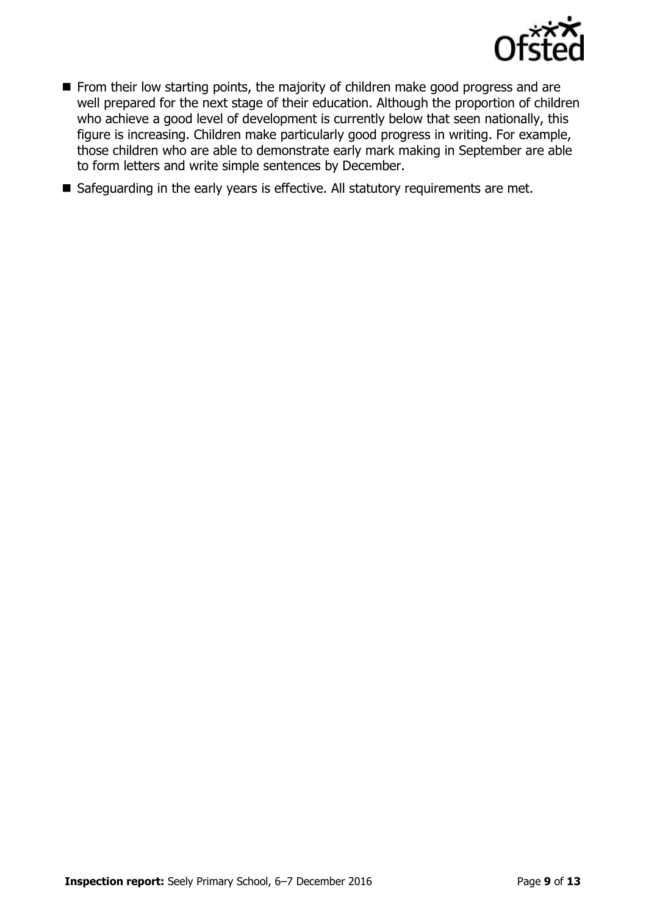

- From their low starting points, the majority of children make good progress and are well prepared for the next stage of their education. Although the proportion of children who achieve a good level of development is currently below that seen nationally, this figure is increasing. Children make particularly good progress in writing. For example, those children who are able to demonstrate early mark making in September are able to form letters and write simple sentences by December.
- Safeguarding in the early years is effective. All statutory requirements are met.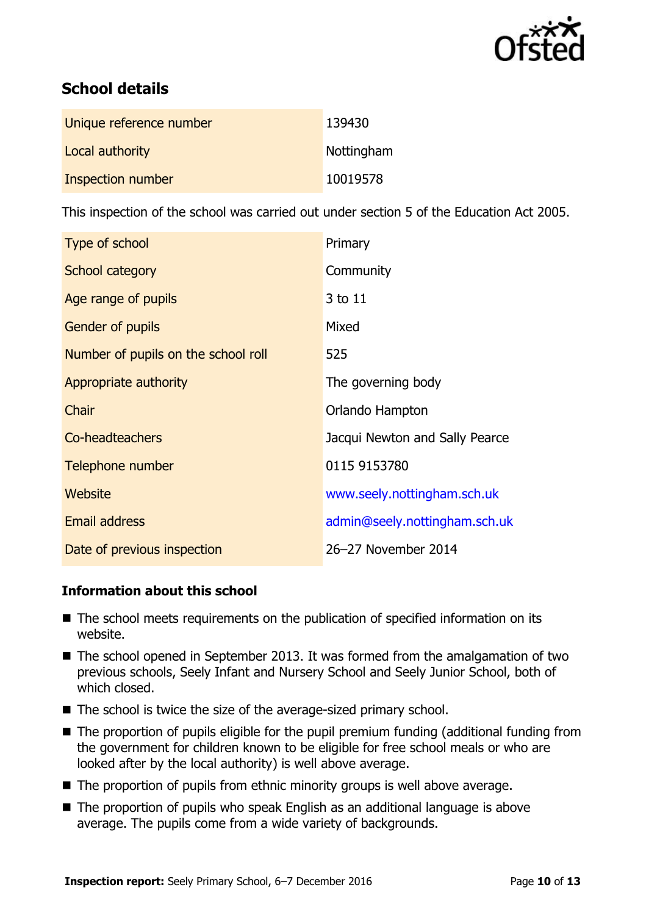

# **School details**

| Unique reference number | 139430     |
|-------------------------|------------|
| Local authority         | Nottingham |
| Inspection number       | 10019578   |

This inspection of the school was carried out under section 5 of the Education Act 2005.

| Type of school                      | Primary                        |
|-------------------------------------|--------------------------------|
| School category                     | Community                      |
| Age range of pupils                 | 3 to 11                        |
| Gender of pupils                    | Mixed                          |
| Number of pupils on the school roll | 525                            |
| Appropriate authority               | The governing body             |
| Chair                               | Orlando Hampton                |
| Co-headteachers                     | Jacqui Newton and Sally Pearce |
| Telephone number                    | 0115 9153780                   |
| Website                             | www.seely.nottingham.sch.uk    |
| <b>Email address</b>                | admin@seely.nottingham.sch.uk  |
| Date of previous inspection         | 26-27 November 2014            |

### **Information about this school**

- The school meets requirements on the publication of specified information on its website.
- The school opened in September 2013. It was formed from the amalgamation of two previous schools, Seely Infant and Nursery School and Seely Junior School, both of which closed.
- The school is twice the size of the average-sized primary school.
- The proportion of pupils eligible for the pupil premium funding (additional funding from the government for children known to be eligible for free school meals or who are looked after by the local authority) is well above average.
- The proportion of pupils from ethnic minority groups is well above average.
- The proportion of pupils who speak English as an additional language is above average. The pupils come from a wide variety of backgrounds.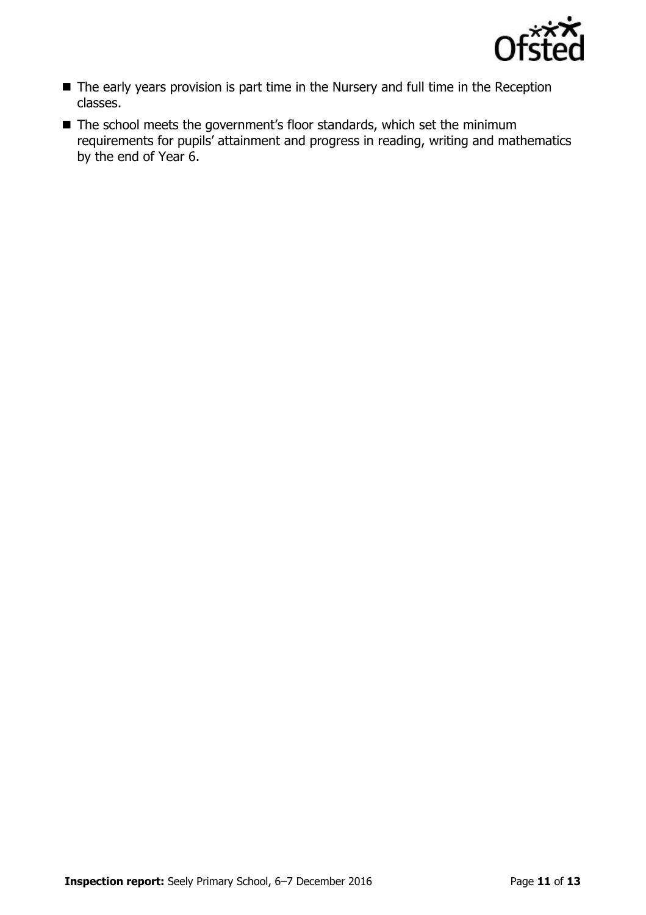

- The early years provision is part time in the Nursery and full time in the Reception classes.
- The school meets the government's floor standards, which set the minimum requirements for pupils' attainment and progress in reading, writing and mathematics by the end of Year 6.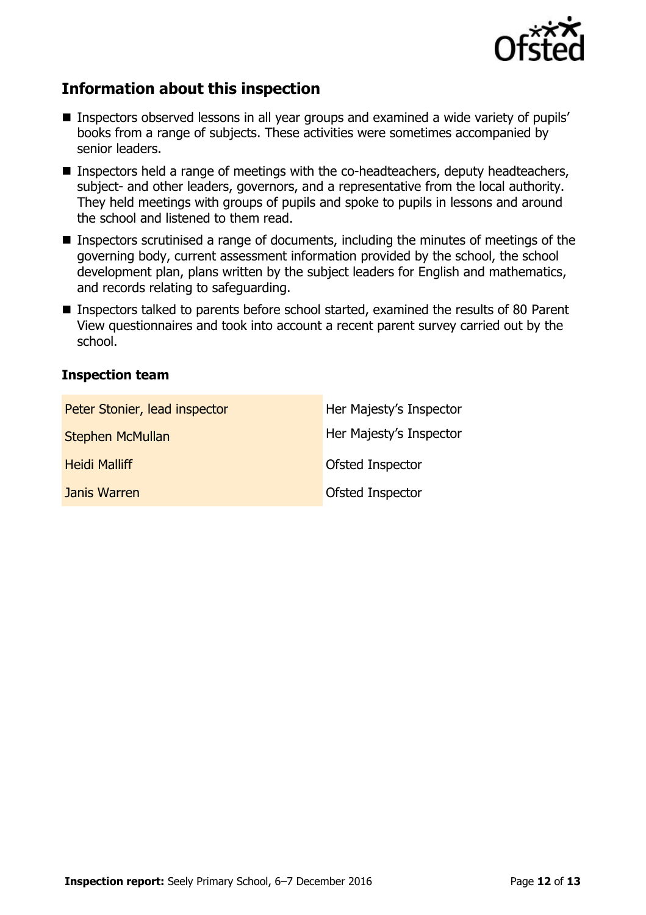

# **Information about this inspection**

- Inspectors observed lessons in all year groups and examined a wide variety of pupils' books from a range of subjects. These activities were sometimes accompanied by senior leaders.
- **Inspectors held a range of meetings with the co-headteachers, deputy headteachers,** subject- and other leaders, governors, and a representative from the local authority. They held meetings with groups of pupils and spoke to pupils in lessons and around the school and listened to them read.
- Inspectors scrutinised a range of documents, including the minutes of meetings of the governing body, current assessment information provided by the school, the school development plan, plans written by the subject leaders for English and mathematics, and records relating to safeguarding.
- Inspectors talked to parents before school started, examined the results of 80 Parent View questionnaires and took into account a recent parent survey carried out by the school.

### **Inspection team**

| Peter Stonier, lead inspector | Her Majesty's Inspector |
|-------------------------------|-------------------------|
| <b>Stephen McMullan</b>       | Her Majesty's Inspector |
| <b>Heidi Malliff</b>          | Ofsted Inspector        |
| Janis Warren                  | Ofsted Inspector        |